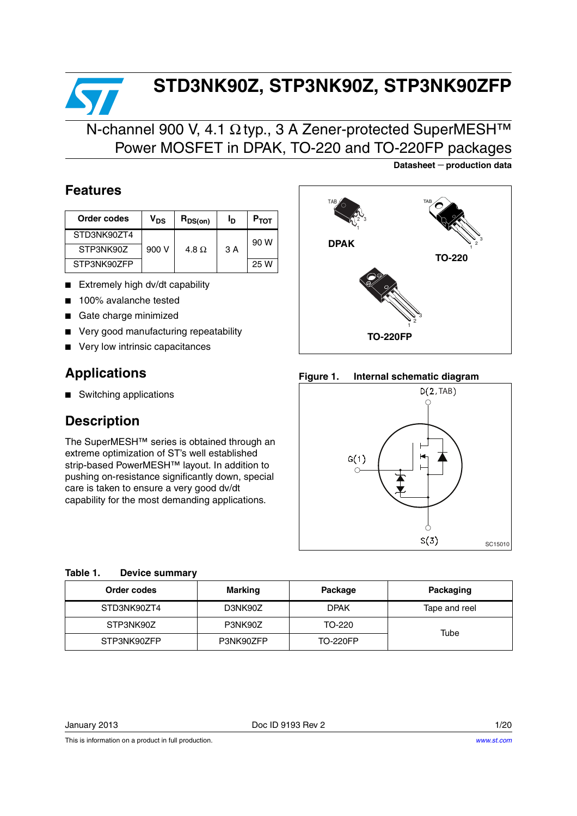# **STD3NK90Z, STP3NK90Z, STP3NK90ZFP**

### N-channel 900 V, 4.1 Ω typ., 3 A Zener-protected SuperMESH™ Power MOSFET in DPAK, TO-220 and TO-220FP packages

### **Features**

| Order codes | V <sub>DS</sub> | $R_{DS(on)}$ | פי | $P_{TOT}$ |
|-------------|-----------------|--------------|----|-----------|
| STD3NK90ZT4 |                 |              |    | 90 W      |
| STP3NK90Z   | 900 V           | 4.8 $\Omega$ | 3A |           |
| STP3NK90ZFP |                 |              |    | 25 W      |

- Extremely high dv/dt capability
- 100% avalanche tested
- Gate charge minimized
- Very good manufacturing repeatability
- Very low intrinsic capacitances

### **Applications**

■ Switching applications

### **Description**

The SuperMESH™ series is obtained through an extreme optimization of ST's well established strip-based PowerMESH™ layout. In addition to pushing on-resistance significantly down, special care is taken to ensure a very good dv/dt capability for the most demanding applications.

**Datasheet** − **production data**



#### **Figure 1. Internal schematic diagram**



#### **Table 1. Device summary**

| Order codes | Marking   | Package         | Packaging     |
|-------------|-----------|-----------------|---------------|
| STD3NK90ZT4 | D3NK90Z   | <b>DPAK</b>     | Tape and reel |
| STP3NK90Z   | P3NK90Z   | TO-220          | Tube          |
| STP3NK90ZFP | P3NK90ZFP | <b>TO-220FP</b> |               |

January 2013 Doc ID 9193 Rev 2 1/20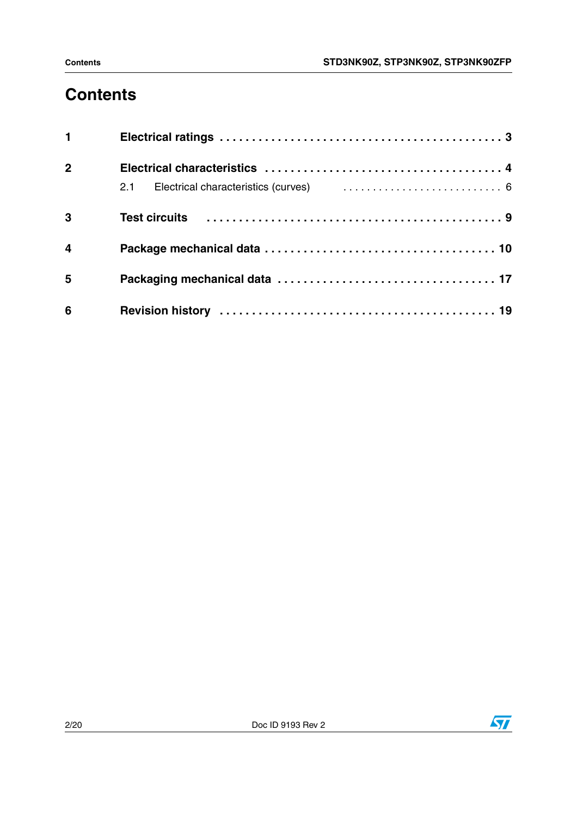# **Contents**

| $\mathbf 1$             |  |
|-------------------------|--|
| $\overline{2}$          |  |
|                         |  |
| $\overline{\mathbf{3}}$ |  |
| $\overline{\mathbf{4}}$ |  |
| $5\phantom{1}$          |  |
| 6                       |  |

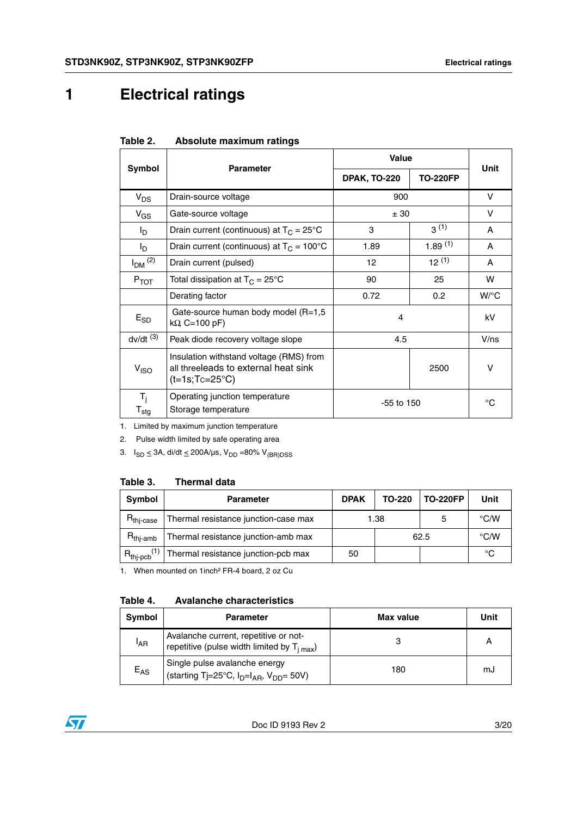# <span id="page-2-0"></span>**1 Electrical ratings**

|                           | <b>Parameter</b>                                                                                    | <b>Value</b>        | <b>Unit</b>     |                    |
|---------------------------|-----------------------------------------------------------------------------------------------------|---------------------|-----------------|--------------------|
| Symbol                    |                                                                                                     | <b>DPAK, TO-220</b> | <b>TO-220FP</b> |                    |
| $V_{DS}$                  | Drain-source voltage                                                                                | 900                 |                 | V                  |
| $V_{GS}$                  | Gate-source voltage                                                                                 | ± 30                |                 | v                  |
| l <sub>D</sub>            | Drain current (continuous) at $T_C = 25^{\circ}C$                                                   | 3                   | 3(1)            | A                  |
| l <sub>D</sub>            | Drain current (continuous) at $T_C = 100^{\circ}C$                                                  | 1.89                | 1.89(1)         | A                  |
| $I_{DM}$ <sup>(2)</sup>   | Drain current (pulsed)                                                                              | 12                  | $12^{(1)}$      | A                  |
| $P_{TOT}$                 | Total dissipation at $T_C = 25^{\circ}C$                                                            | 90                  | 25              | w                  |
|                           | Derating factor                                                                                     | 0.72                | 0.2             | $W$ <sup>o</sup> C |
| $E_{SD}$                  | Gate-source human body model (R=1,5<br>$k\Omega$ , C=100 pF)                                        | 4                   |                 | kV                 |
| $dv/dt$ <sup>(3)</sup>    | Peak diode recovery voltage slope                                                                   | 4.5                 |                 | V/ns               |
| V <sub>ISO</sub>          | Insulation withstand voltage (RMS) from<br>all threeleads to external heat sink<br>$(t=1s;Tc=25°C)$ |                     | 2500            | $\vee$             |
| $T_i$<br>$T_{\text{stg}}$ | Operating junction temperature<br>Storage temperature                                               | $-55$ to $150$      |                 | °C                 |

| Table 2. |  | Absolute maximum ratings |  |
|----------|--|--------------------------|--|
|----------|--|--------------------------|--|

1. Limited by maximum junction temperature

2. Pulse width limited by safe operating area

3.  $I_{SD} \leq 3A$ , di/dt  $\leq 200A/\mu s$ ,  $V_{DD} = 80\% V_{(BR)DSS}$ 

#### **Table 3. Thermal data**

| Symbol                  | <b>DPAK</b><br><b>Parameter</b>           |      | <b>TO-220FP</b><br>TO-220 |    | Unit               |
|-------------------------|-------------------------------------------|------|---------------------------|----|--------------------|
| R <sub>thi-case</sub>   | Thermal resistance junction-case max      | 1.38 |                           | 5  | $\rm ^{\circ}$ C/W |
| $R_{\text{thi-amb}}$    | Thermal resistance junction-amb max       | 62.5 |                           |    | $\rm ^{\circ}$ C/W |
| $R_{\text{thip}}^{(1)}$ | Thermal resistance junction-pcb max<br>50 |      |                           | °C |                    |

1. When mounted on 1inch² FR-4 board, 2 oz Cu

#### **Table 4. Avalanche characteristics**

| Symbol          | <b>Parameter</b>                                                                          | Max value | Unit |
|-----------------|-------------------------------------------------------------------------------------------|-----------|------|
| <sup>I</sup> AR | Avalanche current, repetitive or not-<br>repetitive (pulse width limited by $T_{i max}$ ) |           | А    |
| $E_{AS}$        | Single pulse avalanche energy<br>(starting Tj=25°C, $I_D=I_{AR}$ , $V_{DD} = 50V$ )       | 180       | mJ   |

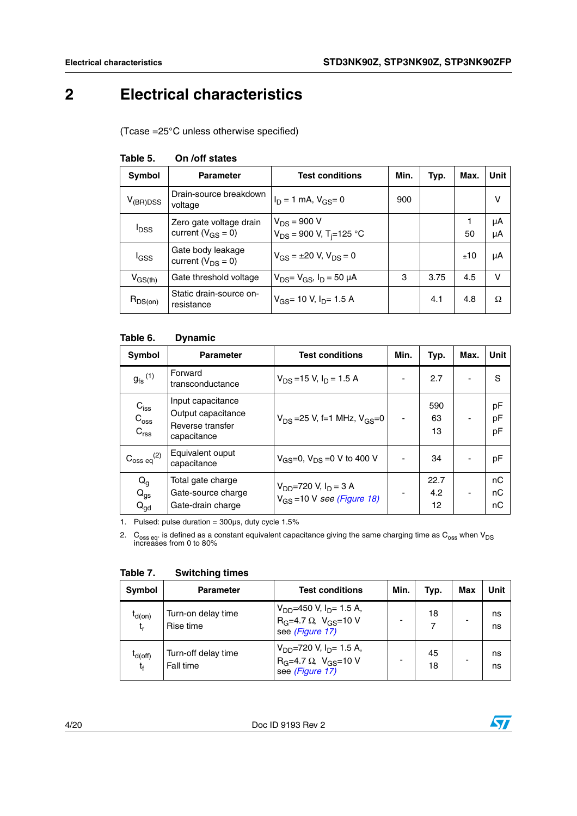# <span id="page-3-0"></span>**2 Electrical characteristics**

(Tcase =25°C unless otherwise specified)

| <b>Symbol</b>           | <b>Parameter</b>                                    | <b>Test conditions</b>                                       | Min. | Typ. | Max. | Unit     |
|-------------------------|-----------------------------------------------------|--------------------------------------------------------------|------|------|------|----------|
| $V_{(BR)DSS}$           | Drain-source breakdown<br>voltage                   | $I_D = 1$ mA, $V_{GS} = 0$                                   | 900  |      |      | v        |
| <b>I</b> <sub>DSS</sub> | Zero gate voltage drain<br>current ( $V_{GS} = 0$ ) | $V_{DS}$ = 900 V<br>$V_{DS}$ = 900 V, T <sub>i</sub> =125 °C |      |      | 50   | μA<br>μA |
| lgss                    | Gate body leakage<br>current $(V_{DS} = 0)$         | $V_{GS} = \pm 20$ V, $V_{DS} = 0$                            |      |      | ±10  | μA       |
| $V_{GS(th)}$            | Gate threshold voltage                              | $V_{DS} = V_{GS}$ , $I_D = 50 \mu A$                         | 3    | 3.75 | 4.5  | $\vee$   |
| $R_{DS(on)}$            | Static drain-source on-<br>resistance               | $V_{GS}$ = 10 V, I <sub>D</sub> = 1.5 A                      |      | 4.1  | 4.8  | Ω        |

#### **Table 5. On /off states**

#### **Table 6. Dynamic**

| <b>Symbol</b>                                            | <b>Parameter</b>                                                           | <b>Test conditions</b>                                          | Min.                     | Typ.              | Max. | Unit           |
|----------------------------------------------------------|----------------------------------------------------------------------------|-----------------------------------------------------------------|--------------------------|-------------------|------|----------------|
| $g_{\text{fs}}^{(1)}$                                    | Forward<br>transconductance                                                | $V_{DS}$ =15 V, $I_D$ = 1.5 A                                   |                          | 2.7               |      | S              |
| $C_{\text{iss}}$<br>$C_{\rm oss}$<br>C <sub>rss</sub>    | Input capacitance<br>Output capacitance<br>Reverse transfer<br>capacitance | $V_{DS}$ = 25 V, f = 1 MHz, $V_{GS}$ = 0                        | $\overline{\phantom{0}}$ | 590<br>63<br>13   |      | рF<br>pF<br>pF |
| $\mathrm{C_{oss\ eq}}^{(2)}$                             | Equivalent ouput<br>capacitance                                            | $V_{GS} = 0$ , $V_{DS} = 0$ V to 400 V                          |                          | 34                |      | pF             |
| $\mathsf{Q}_{\mathsf{g}}$<br>$Q_{gs}$<br>$Q_{\text{gd}}$ | Total gate charge<br>Gate-source charge<br>Gate-drain charge               | $V_{DD} = 720$ V, $I_D = 3$ A<br>$V_{GS}$ =10 V see (Figure 18) |                          | 22.7<br>4.2<br>12 |      | nC<br>пC<br>nС |

1. Pulsed: pulse duration =  $300\mu s$ , duty cycle  $1.5\%$ 

2. C<sub>oss eq</sub>. is defined as a constant equivalent capacitance giving the same charging time as C<sub>oss</sub> when V<sub>DS</sub><br>increases from 0 to 80%

|  | Symbol            | <b>Parameter</b>                 | <b>Test conditions</b>                                                                              | Min. | Typ.     | <b>Max</b> | Unit     |
|--|-------------------|----------------------------------|-----------------------------------------------------------------------------------------------------|------|----------|------------|----------|
|  | $I_{d(0n)}$<br>t, | Turn-on delay time<br>Rise time  | $V_{DD}$ =450 V, I <sub>D</sub> = 1.5 A,<br>$R_G$ =4.7 $\Omega$ , $V_{GS}$ =10 V<br>see (Figure 17) |      | 18       |            | ns<br>ns |
|  | $t_{d(off)}$<br>t | Turn-off delay time<br>Fall time | $V_{DD}$ =720 V, I <sub>D</sub> = 1.5 A,<br>$R_G = 4.7 \Omega$ , $V_{GS} = 10 V$<br>see (Figure 17) |      | 45<br>18 |            | ns<br>ns |

#### **Table 7. Switching times**

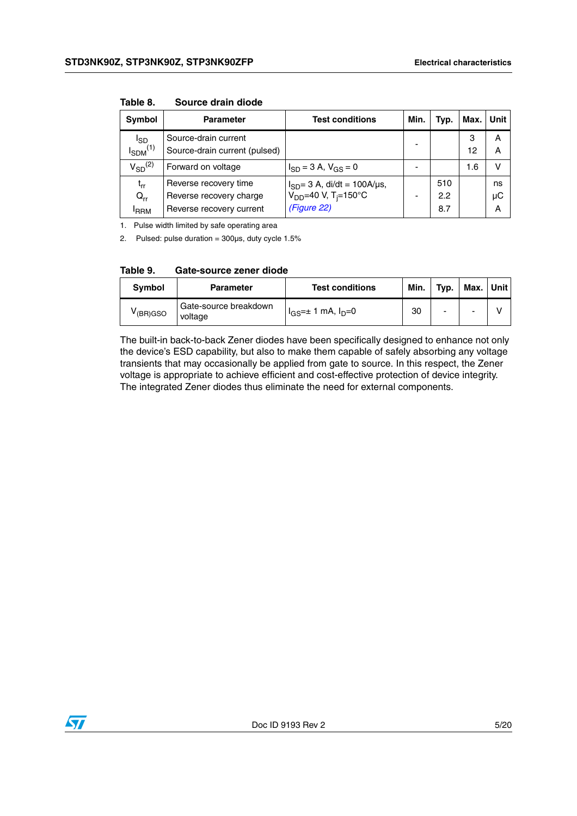| Symbol           | <b>Parameter</b>              | <b>Test conditions</b>                                                           | Min.           | Typ. | Max. | Unit |
|------------------|-------------------------------|----------------------------------------------------------------------------------|----------------|------|------|------|
| l <sub>SD</sub>  | Source-drain current          |                                                                                  |                |      | 3    | A    |
| $I_{SDM}^{(1)}$  | Source-drain current (pulsed) |                                                                                  |                |      | 12   | A    |
| $V_{SD}^{(2)}$   | Forward on voltage            | $I_{SD} = 3 A$ , $V_{GS} = 0$                                                    |                |      | 1.6  | v    |
| t <sub>rr</sub>  | Reverse recovery time         |                                                                                  |                | 510  |      | ns   |
| $Q_{rr}$         | Reverse recovery charge       | $I_{SD} = 3$ A, di/dt = 100A/µs,<br>V <sub>DD</sub> =40 V, T <sub>i</sub> =150°C | $\overline{a}$ | 2.2  |      | μC   |
| <sup>I</sup> RRM | Reverse recovery current      | (Figure 22)                                                                      |                | 8.7  |      | A    |

**Table 8. Source drain diode**

1. Pulse width limited by safe operating area

2. Pulsed: pulse duration =  $300\mu s$ , duty cycle  $1.5\%$ 

|  | Table 9. | Gate-source zener diode |  |
|--|----------|-------------------------|--|
|--|----------|-------------------------|--|

| Svmbol               | <b>Parameter</b>                 | <b>Test conditions</b>       | Min. | Tvp. | Max. | <b>Unit</b> |
|----------------------|----------------------------------|------------------------------|------|------|------|-------------|
| <sup>V</sup> (BR)GSO | Gate-source breakdown<br>voltage | $I_{GS}$ =± 1 mA, $I_{D}$ =0 | 30   |      |      |             |

The built-in back-to-back Zener diodes have been specifically designed to enhance not only the device's ESD capability, but also to make them capable of safely absorbing any voltage transients that may occasionally be applied from gate to source. In this respect, the Zener voltage is appropriate to achieve efficient and cost-effective protection of device integrity. The integrated Zener diodes thus eliminate the need for external components.

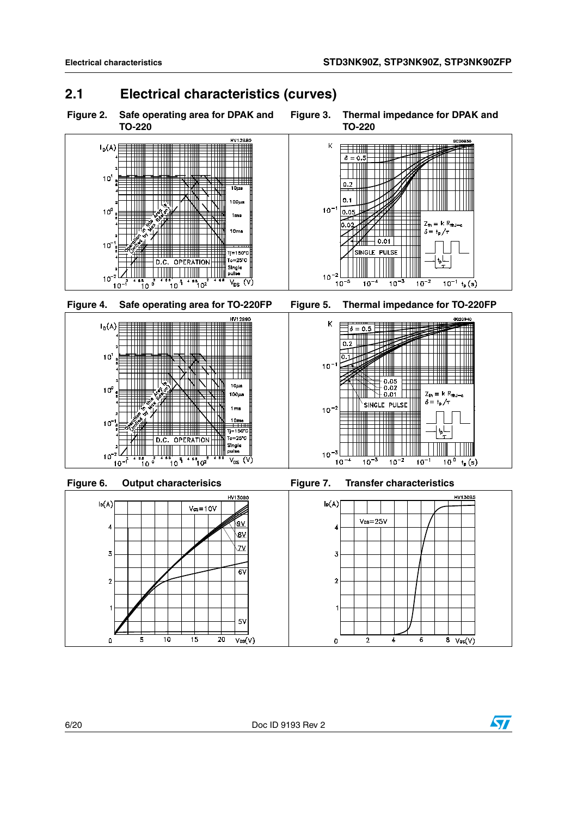### <span id="page-5-0"></span>**2.1 Electrical characteristics (curves)**



 $\overline{2}$ 

 $\mathbf 0$ 

 $\overline{4}$ 

 $\overline{6}$ 

 $8 \sqrt{cs(V)}$ 



 $\mathbf{o}$ 

 $\overline{10}$ 

 $\overline{\mathbf{5}}$ 

 $\overline{15}$ 

 $\overline{20}$ 

 $\overline{V_{DS}}(V)$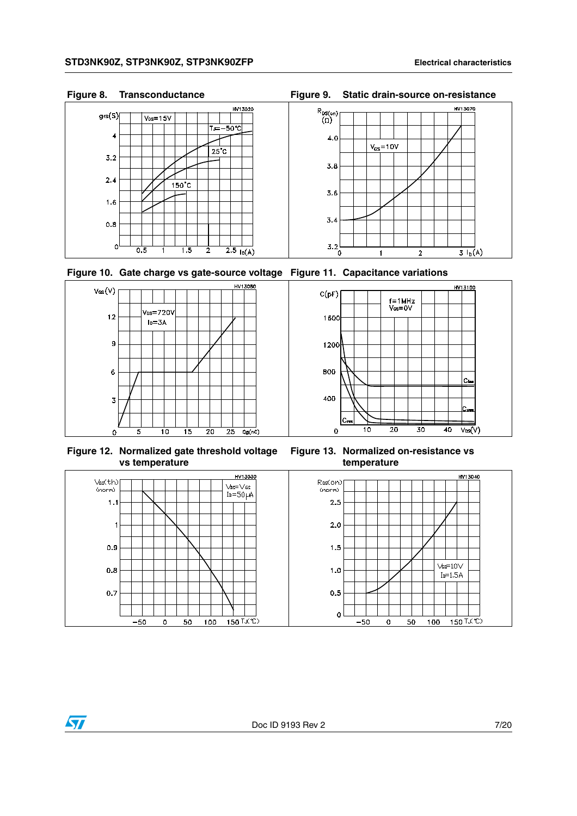









**Figure 12. Normalized gate threshold voltage vs temperature**

 $\bm{\varpi}$ 



**Figure 13. Normalized on-resistance vs temperature**

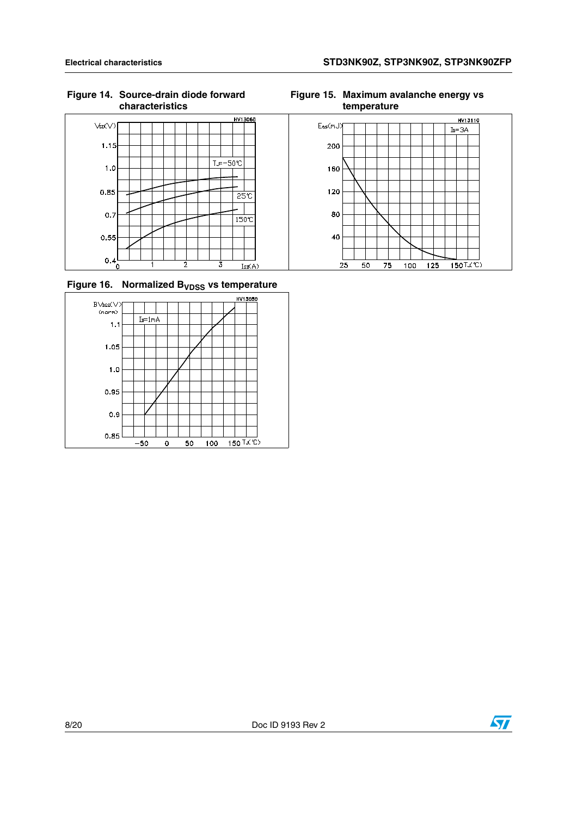HV13060  $Vsn(V)$  $1.15$  $T = -50$  $1.0$  $0.85$  $25<sup>2</sup>$  $0.7$  $\frac{1}{150}$  $0.55$  $0.4<sub>0</sub>$  $\overline{3}$ 7  $\overline{2}$  $Isp(A)$ 







**Figure 15. Maximum avalanche energy vs temperature**

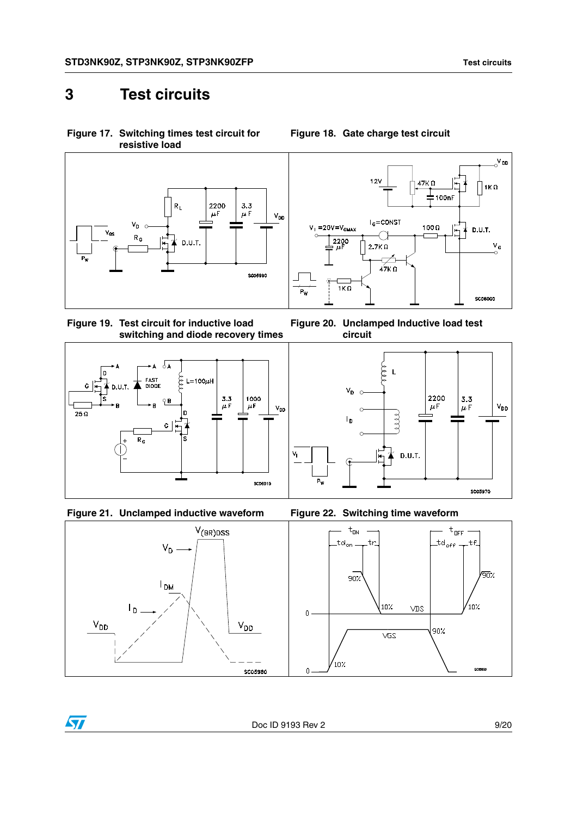### <span id="page-8-0"></span>**3 Test circuits**

<span id="page-8-2"></span>











<span id="page-8-1"></span>

 $\mathrm{O}^{\mathsf{V}}$ <sub>OD</sub>  $12V$  $47K<sub>0</sub>$  $1K\Omega$ 100nF  $I_G = \text{CONST}$  $V_i = 20V = V_{GMAX}$ 100 $\Omega$  $\frac{1}{4}$  $D.U.T.$ ◯  $\frac{2200}{\pi}$  $\frac{V}{C}$ 2.7K $\Omega$  $\overline{\diagup}$  $47K \Omega$  $1K\Omega$ P., **SC06000** 





<span id="page-8-3"></span>



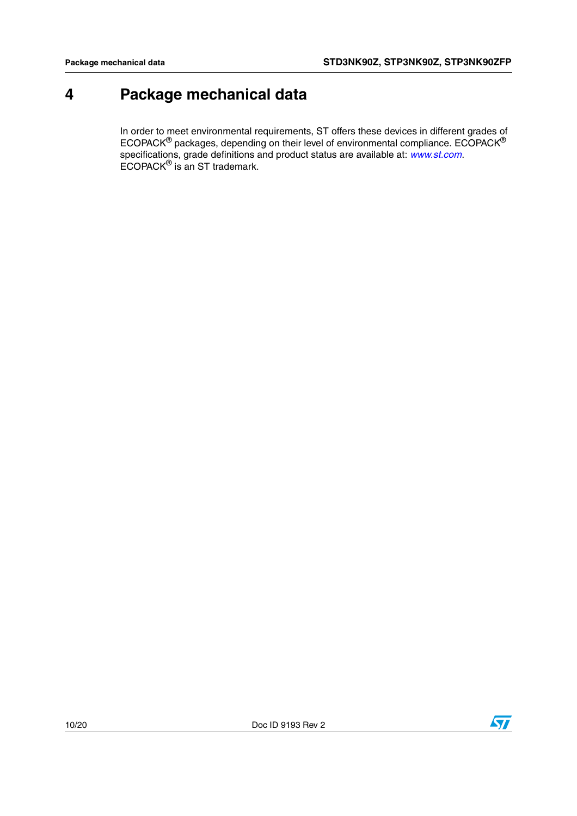## <span id="page-9-0"></span>**4 Package mechanical data**

In order to meet environmental requirements, ST offers these devices in different grades of ECOPACK $^{\circledR}$  packages, depending on their level of environmental compliance. ECOPACK $^{\circledR}$ specifications, grade definitions and product status are available at: *[www.st.com](http://www.st.com)*. ECOPACK® is an ST trademark.

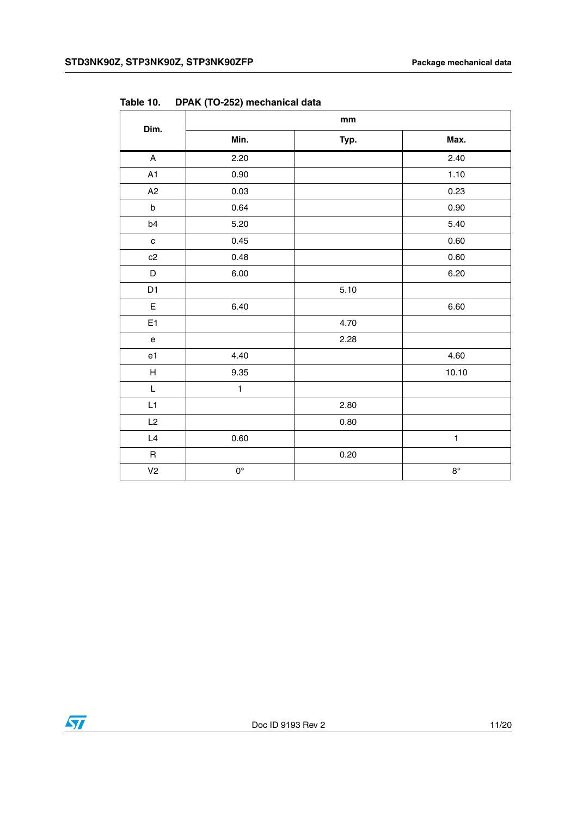| Dim.                              | $\mathop{\text{mm}}\nolimits$ |      |              |  |  |
|-----------------------------------|-------------------------------|------|--------------|--|--|
|                                   | Min.                          | Typ. | Max.         |  |  |
| $\mathsf{A}$                      | 2.20                          |      | 2.40         |  |  |
| A1                                | 0.90                          |      | 1.10         |  |  |
| A2                                | 0.03                          |      | 0.23         |  |  |
| $\sf b$                           | 0.64                          |      | 0.90         |  |  |
| b4                                | 5.20                          |      | 5.40         |  |  |
| $\mathbf{C}$                      | 0.45                          |      | 0.60         |  |  |
| c2                                | 0.48                          |      | 0.60         |  |  |
| $\mathsf D$                       | 6.00                          |      | 6.20         |  |  |
| D <sub>1</sub>                    |                               | 5.10 |              |  |  |
| $\mathsf E$                       | 6.40                          |      | 6.60         |  |  |
| E <sub>1</sub>                    |                               | 4.70 |              |  |  |
| $\mathsf{e}% _{t}\left( t\right)$ |                               | 2.28 |              |  |  |
| e1                                | 4.40                          |      | 4.60         |  |  |
| $\boldsymbol{\mathsf{H}}$         | 9.35                          |      | 10.10        |  |  |
| $\overline{\mathsf{L}}$           | $\mathbf{1}$                  |      |              |  |  |
| L1                                |                               | 2.80 |              |  |  |
| L2                                |                               | 0.80 |              |  |  |
| L4                                | 0.60                          |      | $\mathbf{1}$ |  |  |
| $\sf R$                           |                               | 0.20 |              |  |  |
| V <sub>2</sub>                    | $0^{\circ}$                   |      | $8^{\circ}$  |  |  |

**Table 10. DPAK (TO-252) mechanical data**

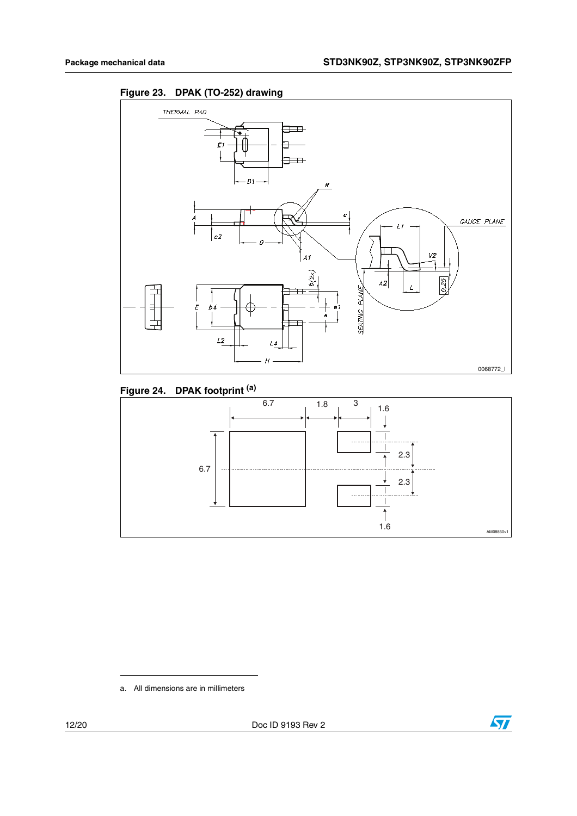



#### **Figure 24. DPAK footprint (a)**



a. All dimensions are in millimeters

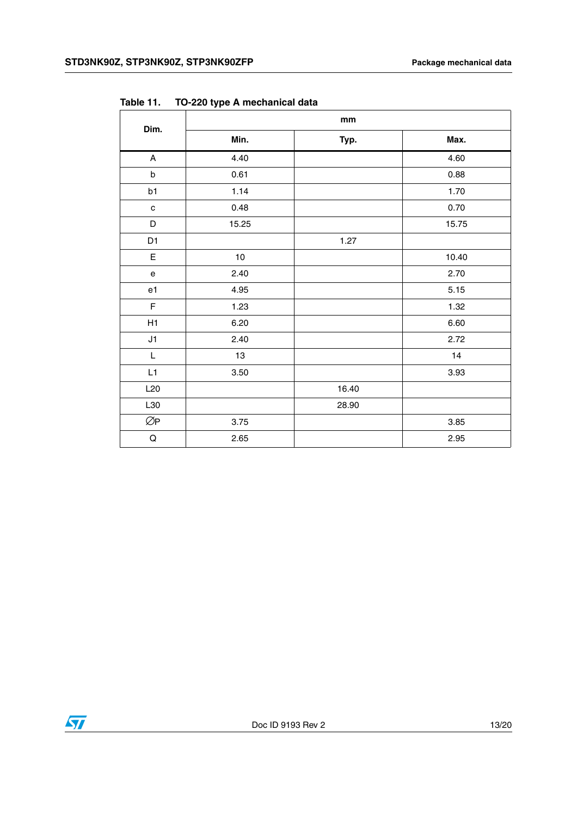| Dim.                              | mm    |       |       |  |  |
|-----------------------------------|-------|-------|-------|--|--|
|                                   | Min.  | Typ.  | Max.  |  |  |
| $\boldsymbol{\mathsf{A}}$         | 4.40  |       | 4.60  |  |  |
| $\mathsf b$                       | 0.61  |       | 0.88  |  |  |
| b1                                | 1.14  |       | 1.70  |  |  |
| $\mathbf{C}$                      | 0.48  |       | 0.70  |  |  |
| D                                 | 15.25 |       | 15.75 |  |  |
| D <sub>1</sub>                    |       | 1.27  |       |  |  |
| $\mathsf E$                       | 10    |       | 10.40 |  |  |
| $\mathsf{e}% _{t}\left( t\right)$ | 2.40  |       | 2.70  |  |  |
| e1                                | 4.95  |       | 5.15  |  |  |
| F                                 | 1.23  |       | 1.32  |  |  |
| H1                                | 6.20  |       | 6.60  |  |  |
| J1                                | 2.40  |       | 2.72  |  |  |
| L                                 | 13    |       | 14    |  |  |
| L1                                | 3.50  |       | 3.93  |  |  |
| L20                               |       | 16.40 |       |  |  |
| L30                               |       | 28.90 |       |  |  |
| ØP                                | 3.75  |       | 3.85  |  |  |
| $\mathsf Q$                       | 2.65  |       | 2.95  |  |  |

**Table 11. TO-220 type A mechanical data**

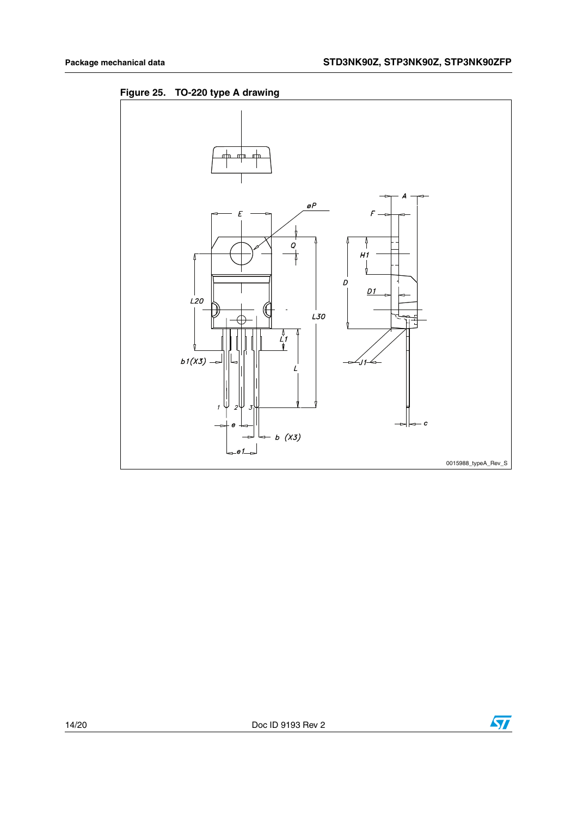



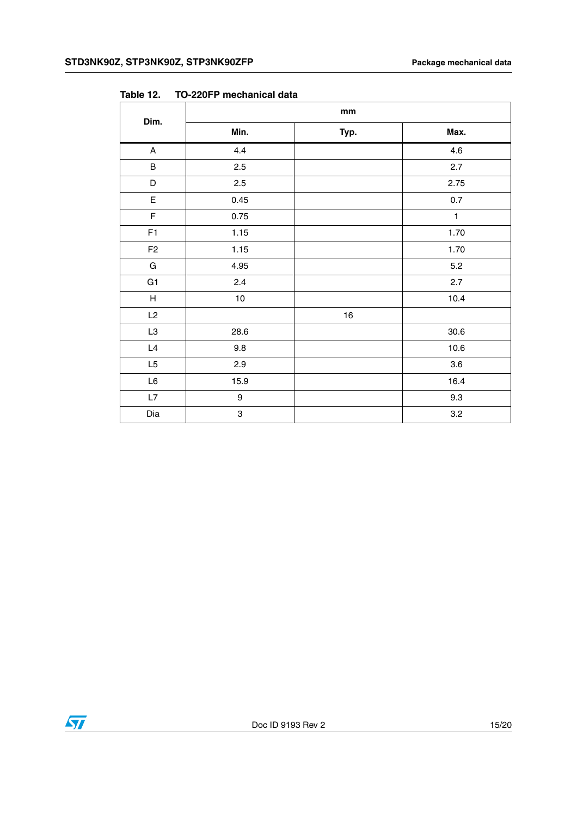|                           | mm               |      |              |  |
|---------------------------|------------------|------|--------------|--|
| Dim.                      | Min.             | Typ. | Max.         |  |
| $\boldsymbol{\mathsf{A}}$ | 4.4              |      | 4.6          |  |
| $\sf B$                   | 2.5              |      | 2.7          |  |
| D                         | 2.5              |      | 2.75         |  |
| $\mathsf E$               | 0.45             |      | 0.7          |  |
| $\mathsf F$               | 0.75             |      | $\mathbf{1}$ |  |
| F1                        | 1.15             |      | 1.70         |  |
| ${\sf F}2$                | 1.15             |      | 1.70         |  |
| G                         | 4.95             |      | 5.2          |  |
| G <sub>1</sub>            | 2.4              |      | 2.7          |  |
| H                         | $10$             |      | 10.4         |  |
| L2                        |                  | $16$ |              |  |
| L3                        | 28.6             |      | $30.6\,$     |  |
| $\mathsf{L}4$             | 9.8              |      | 10.6         |  |
| L5                        | 2.9              |      | 3.6          |  |
| $\mathsf{L}6$             | 15.9             |      | 16.4         |  |
| L7                        | $\boldsymbol{9}$ |      | 9.3          |  |
| Dia                       | 3                |      | 3.2          |  |

**Table 12. TO-220FP mechanical data**

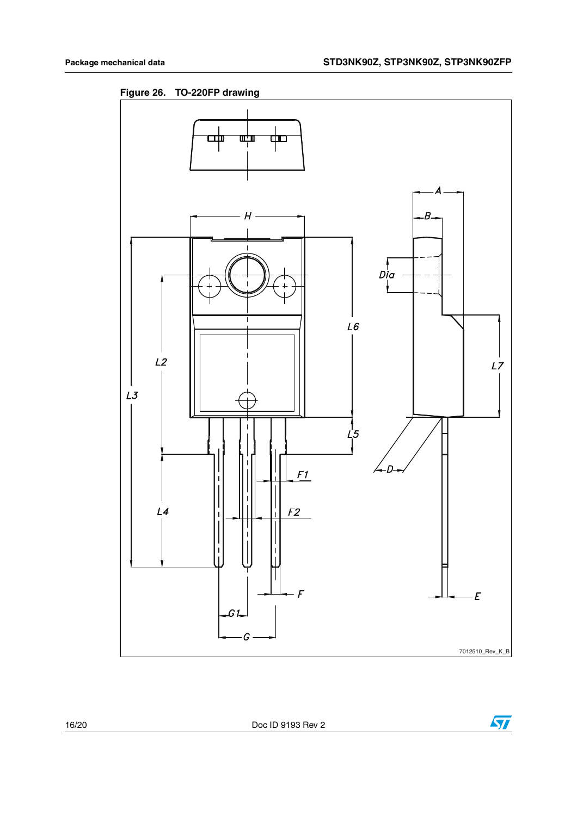**Figure 26. TO-220FP drawing**



 $\sqrt{2}$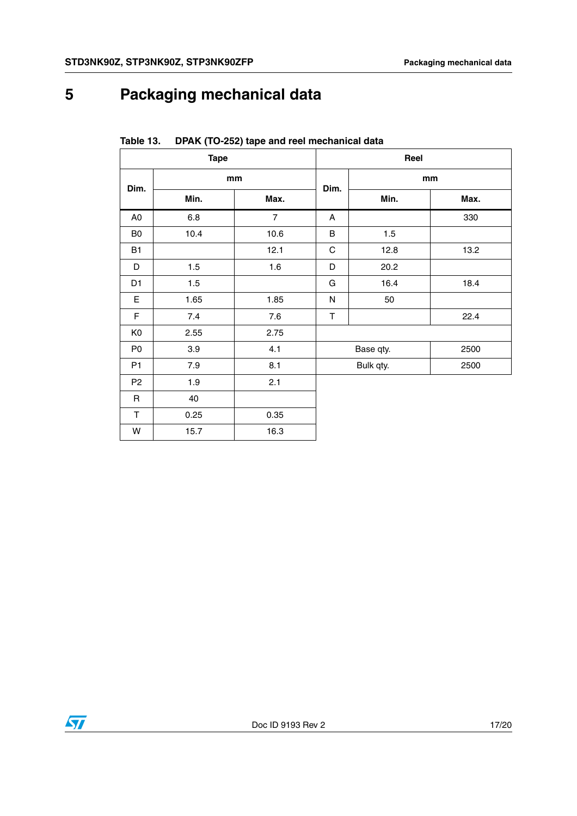# <span id="page-16-0"></span>**5 Packaging mechanical data**

| <b>Tape</b>    |         |                | Reel        |           |      |  |
|----------------|---------|----------------|-------------|-----------|------|--|
| Dim.           | mm      |                | Dim.        | mm        |      |  |
|                | Min.    | Max.           |             | Min.      | Max. |  |
| A <sub>0</sub> | $6.8\,$ | $\overline{7}$ | A           |           | 330  |  |
| B <sub>0</sub> | 10.4    | 10.6           | $\sf B$     | 1.5       |      |  |
| B1             |         | 12.1           | $\mathsf C$ | 12.8      | 13.2 |  |
| D              | 1.5     | 1.6            | D           | 20.2      |      |  |
| D <sub>1</sub> | 1.5     |                | G           | 16.4      | 18.4 |  |
| E              | 1.65    | 1.85           | N           | 50        |      |  |
| F              | 7.4     | 7.6            | T           |           | 22.4 |  |
| K <sub>0</sub> | 2.55    | 2.75           |             |           |      |  |
| P <sub>0</sub> | 3.9     | 4.1            |             | Base qty. | 2500 |  |
| P1             | 7.9     | 8.1            |             | Bulk qty. | 2500 |  |
| P <sub>2</sub> | 1.9     | 2.1            |             |           |      |  |
| R              | 40      |                |             |           |      |  |
| $\mathsf T$    | 0.25    | 0.35           |             |           |      |  |
| W              | 15.7    | 16.3           |             |           |      |  |

**Table 13. DPAK (TO-252) tape and reel mechanical data**

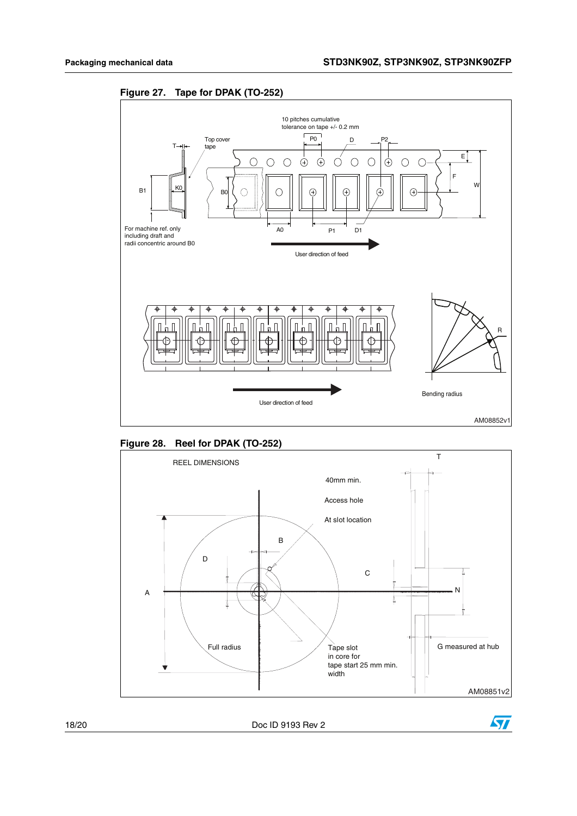







18/20 Doc ID 9193 Rev 2

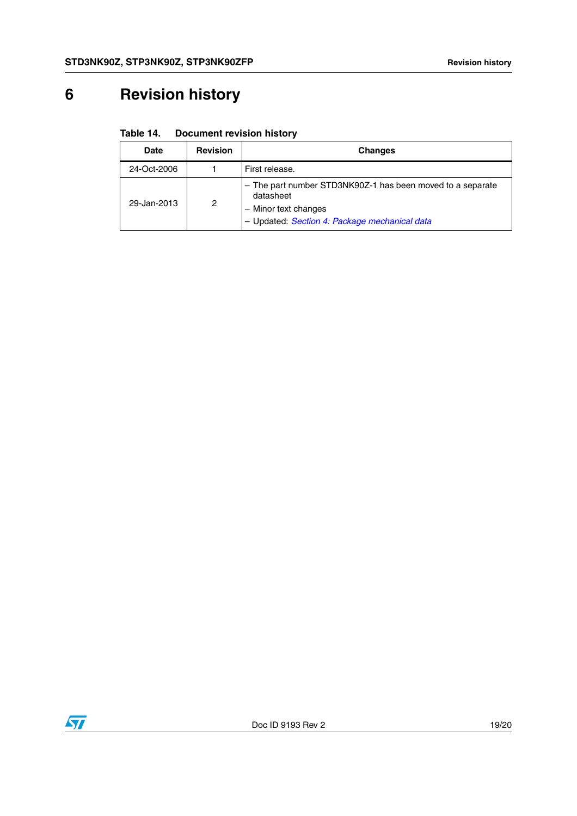# <span id="page-18-0"></span>**6 Revision history**

| Table 14. | <b>Document revision history</b> |  |
|-----------|----------------------------------|--|
|           |                                  |  |

| Date        | <b>Revision</b> | Changes                                                                                                                                          |
|-------------|-----------------|--------------------------------------------------------------------------------------------------------------------------------------------------|
| 24-Oct-2006 |                 | First release.                                                                                                                                   |
| 29-Jan-2013 | 2               | - The part number STD3NK90Z-1 has been moved to a separate<br>datasheet<br>- Minor text changes<br>- Updated: Section 4: Package mechanical data |